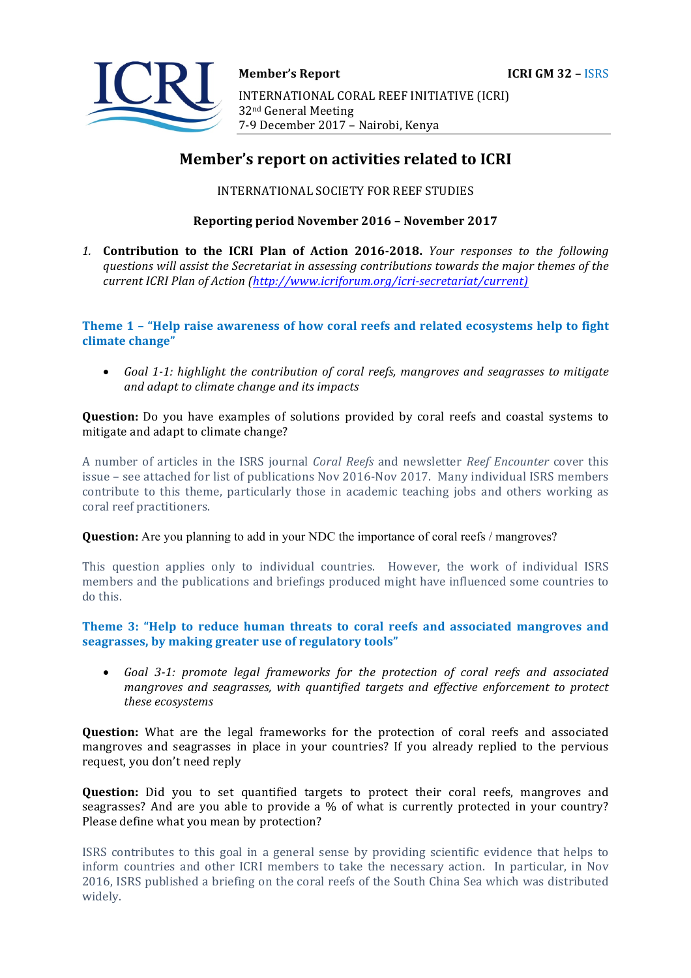

# **Member's report on activities related to ICRI**

INTERNATIONAL SOCIETY FOR REEF STUDIES

## **Reporting period November 2016 – November 2017**

1. **Contribution to the ICRI Plan of Action 2016-2018.** *Your responses to the following* questions will assist the Secretariat in assessing contributions towards the major themes of the *current ICRI Plan of Action (http://www.icriforum.org/icri-secretariat/current)* 

# **Theme 1 - "Help raise awareness of how coral reefs and related ecosystems help to fight** climate change"

• Goal 1-1: highlight the contribution of coral reefs, mangroves and seagrasses to mitigate *and adapt to climate change and its impacts* 

**Question:** Do you have examples of solutions provided by coral reefs and coastal systems to mitigate and adapt to climate change?

A number of articles in the ISRS journal *Coral Reefs* and newsletter *Reef Encounter* cover this issue - see attached for list of publications Nov 2016-Nov 2017. Many individual ISRS members contribute to this theme, particularly those in academic teaching jobs and others working as coral reef practitioners.

### **Question:** Are you planning to add in your NDC the importance of coral reefs / mangroves?

This question applies only to individual countries. However, the work of individual ISRS members and the publications and briefings produced might have influenced some countries to do this.

# Theme 3: "Help to reduce human threats to coral reefs and associated mangroves and seagrasses, by making greater use of regulatory tools"

• Goal 3-1: promote legal frameworks for the protection of coral reefs and associated mangroves and seagrasses, with quantified targets and effective enforcement to protect *these ecosystems* 

**Question:** What are the legal frameworks for the protection of coral reefs and associated mangroves and seagrasses in place in your countries? If you already replied to the pervious request, you don't need reply

**Question:** Did you to set quantified targets to protect their coral reefs, mangroves and seagrasses? And are you able to provide a % of what is currently protected in your country? Please define what you mean by protection?

ISRS contributes to this goal in a general sense by providing scientific evidence that helps to inform countries and other ICRI members to take the necessary action. In particular, in Nov 2016, ISRS published a briefing on the coral reefs of the South China Sea which was distributed widely.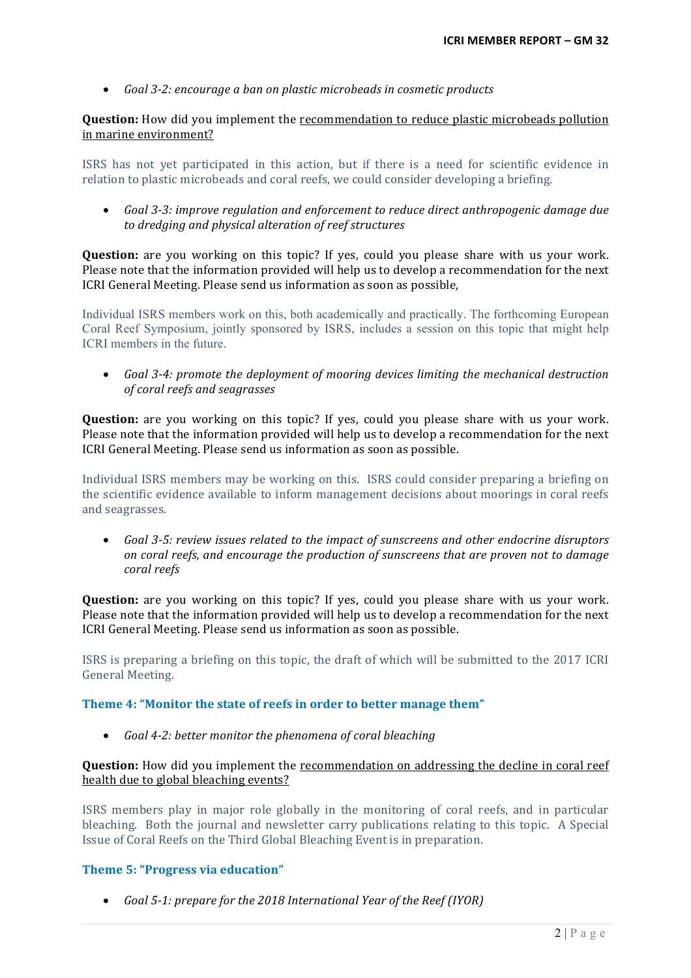• Goal 3-2: encourage a ban on plastic microbeads in cosmetic products

**Question:** How did you implement the **recommendation** to reduce plastic microbeads pollution in marine environment?

ISRS has not yet participated in this action, but if there is a need for scientific evidence in relation to plastic microbeads and coral reefs, we could consider developing a briefing.

• Goal 3-3: *improve regulation and enforcement to reduce direct anthropogenic damage due* to dredging and physical alteration of reef structures

**Question:** are you working on this topic? If yes, could you please share with us your work. Please note that the information provided will help us to develop a recommendation for the next ICRI General Meeting. Please send us information as soon as possible,

Individual ISRS members work on this, both academically and practically. The forthcoming European Coral Reef Symposium, jointly sponsored by ISRS, includes a session on this topic that might help ICRI members in the future.

• Goal 3-4: promote the deployment of mooring devices limiting the mechanical destruction *of coral reefs and seagrasses* 

**Question:** are you working on this topic? If yes, could you please share with us your work. Please note that the information provided will help us to develop a recommendation for the next ICRI General Meeting. Please send us information as soon as possible.

Individual ISRS members may be working on this. ISRS could consider preparing a briefing on the scientific evidence available to inform management decisions about moorings in coral reefs and seagrasses.

• Goal 3-5: review issues related to the impact of sunscreens and other endocrine disruptors *on coral reefs, and encourage the production of sunscreens that are proven not to damage coral reefs* 

**Question:** are you working on this topic? If yes, could you please share with us your work. Please note that the information provided will help us to develop a recommendation for the next ICRI General Meeting. Please send us information as soon as possible.

ISRS is preparing a briefing on this topic, the draft of which will be submitted to the 2017 ICRI General Meeting.

# Theme 4: "Monitor the state of reefs in order to better manage them"

• *Goal 4-2: better monitor the phenomena of coral bleaching* 

### **Question:** How did you implement the recommendation on addressing the decline in coral reef health due to global bleaching events?

ISRS members play in major role globally in the monitoring of coral reefs, and in particular bleaching. Both the journal and newsletter carry publications relating to this topic. A Special Issue of Coral Reefs on the Third Global Bleaching Event is in preparation.

### **Theme 5: "Progress via education"**

• *Goal* 5-1: prepare for the 2018 International Year of the Reef (IYOR)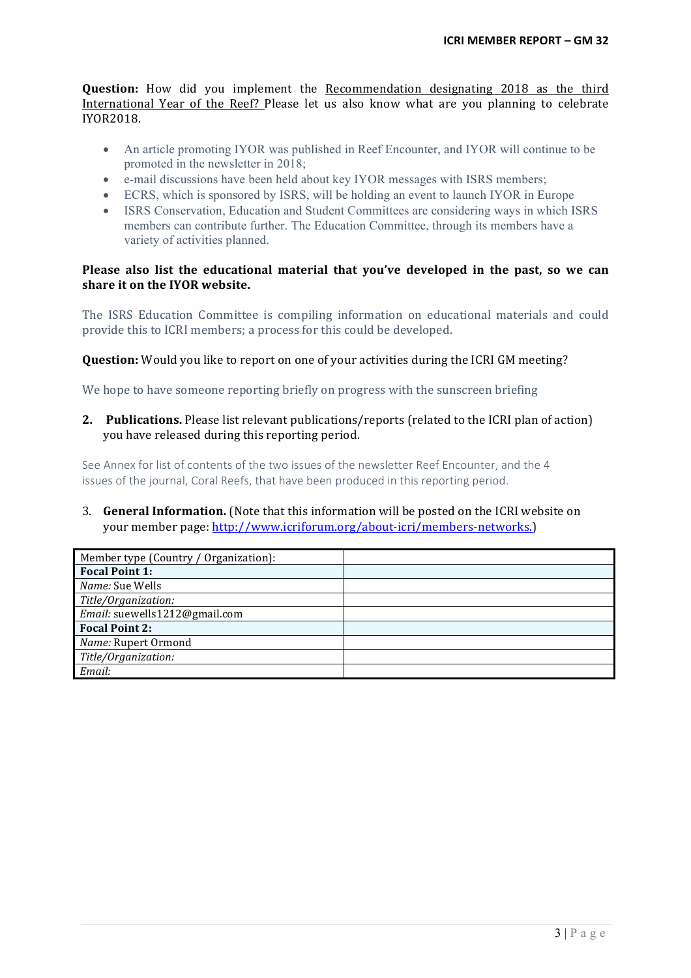**Question:** How did you implement the Recommendation designating 2018 as the third International Year of the Reef? Please let us also know what are you planning to celebrate IYOR2018.

- An article promoting IYOR was published in Reef Encounter, and IYOR will continue to be promoted in the newsletter in 2018;
- e-mail discussions have been held about key IYOR messages with ISRS members;
- ECRS, which is sponsored by ISRS, will be holding an event to launch IYOR in Europe
- ISRS Conservation, Education and Student Committees are considering ways in which ISRS members can contribute further. The Education Committee, through its members have a variety of activities planned.

## **Please also list the educational material that you've developed in the past, so we can** share it on the **IYOR** website.

The ISRS Education Committee is compiling information on educational materials and could provide this to ICRI members; a process for this could be developed.

### **Question:** Would you like to report on one of your activities during the ICRI GM meeting?

We hope to have someone reporting briefly on progress with the sunscreen briefing

**2. Publications.** Please list relevant publications/reports (related to the ICRI plan of action) you have released during this reporting period.

See Annex for list of contents of the two issues of the newsletter Reef Encounter, and the 4 issues of the journal, Coral Reefs, that have been produced in this reporting period.

### 3. **General Information.** (Note that this information will be posted on the ICRI website on your member page: http://www.icriforum.org/about-icri/members-networks.)

| Member type (Country / Organization): |  |
|---------------------------------------|--|
| <b>Focal Point 1:</b>                 |  |
| Name: Sue Wells                       |  |
| Title/Organization:                   |  |
| Email: suewells1212@gmail.com         |  |
| <b>Focal Point 2:</b>                 |  |
| Name: Rupert Ormond                   |  |
| Title/Organization:                   |  |
| Email:                                |  |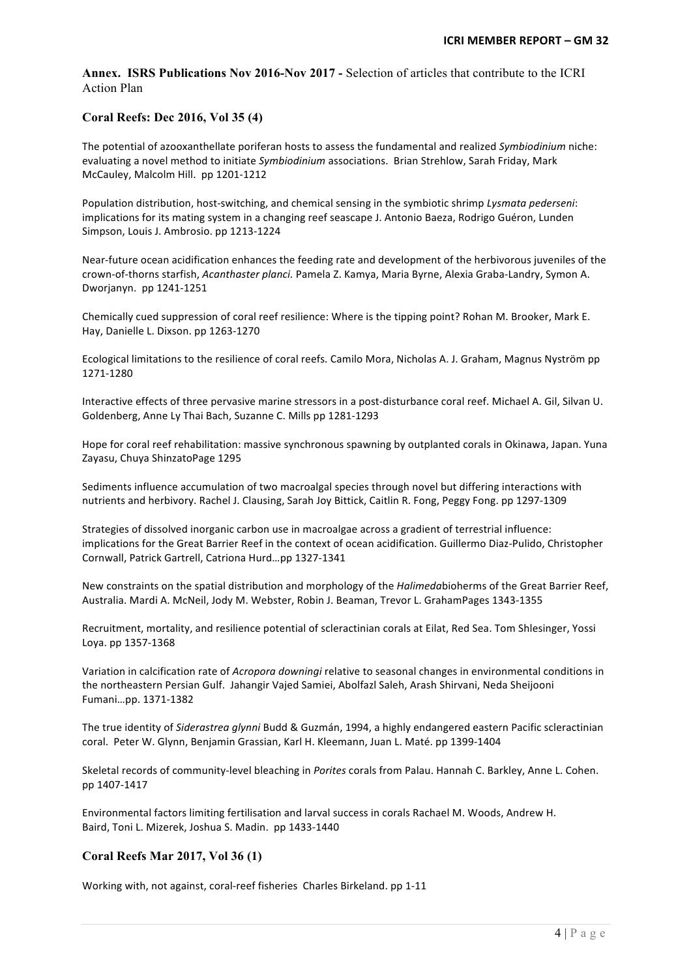**Annex. ISRS Publications Nov 2016-Nov 2017 -** Selection of articles that contribute to the ICRI Action Plan

#### **Coral Reefs: Dec 2016, Vol 35 (4)**

The potential of azooxanthellate poriferan hosts to assess the fundamental and realized *Symbiodinium* niche: evaluating a novel method to initiate *Symbiodinium* associations. Brian Strehlow, Sarah Friday, Mark McCauley, Malcolm Hill. pp 1201-1212

Population distribution, host-switching, and chemical sensing in the symbiotic shrimp *Lysmata pederseni*: implications for its mating system in a changing reef seascape J. Antonio Baeza, Rodrigo Guéron, Lunden Simpson, Louis J. Ambrosio. pp 1213-1224

Near-future ocean acidification enhances the feeding rate and development of the herbivorous juveniles of the crown-of-thorns starfish, *Acanthaster planci.* Pamela Z. Kamya, Maria Byrne, Alexia Graba-Landry, Symon A. Dworjanyn. pp 1241-1251

Chemically cued suppression of coral reef resilience: Where is the tipping point? Rohan M. Brooker, Mark E. Hay, Danielle L. Dixson. pp 1263-1270

Ecological limitations to the resilience of coral reefs. Camilo Mora, Nicholas A. J. Graham, Magnus Nyström pp 1271-1280

Interactive effects of three pervasive marine stressors in a post-disturbance coral reef. Michael A. Gil, Silvan U. Goldenberg, Anne Ly Thai Bach, Suzanne C. Mills pp 1281-1293

Hope for coral reef rehabilitation: massive synchronous spawning by outplanted corals in Okinawa, Japan. Yuna Zayasu, Chuya ShinzatoPage 1295

Sediments influence accumulation of two macroalgal species through novel but differing interactions with nutrients and herbivory. Rachel J. Clausing, Sarah Joy Bittick, Caitlin R. Fong, Peggy Fong. pp 1297-1309

Strategies of dissolved inorganic carbon use in macroalgae across a gradient of terrestrial influence: implications for the Great Barrier Reef in the context of ocean acidification. Guillermo Diaz-Pulido, Christopher Cornwall, Patrick Gartrell, Catriona Hurd…pp 1327-1341

New constraints on the spatial distribution and morphology of the *Halimedabioherms* of the Great Barrier Reef, Australia. Mardi A. McNeil, Jody M. Webster, Robin J. Beaman, Trevor L. GrahamPages 1343-1355

Recruitment, mortality, and resilience potential of scleractinian corals at Eilat, Red Sea. Tom Shlesinger, Yossi Loya. pp 1357-1368

Variation in calcification rate of *Acropora downingi* relative to seasonal changes in environmental conditions in the northeastern Persian Gulf. Jahangir Vajed Samiei, Abolfazl Saleh, Arash Shirvani, Neda Sheijooni Fumani…pp. 1371-1382

The true identity of *Siderastrea glynni* Budd & Guzmán, 1994, a highly endangered eastern Pacific scleractinian coral. Peter W. Glynn, Benjamin Grassian, Karl H. Kleemann, Juan L. Maté. pp 1399-1404

Skeletal records of community-level bleaching in *Porites* corals from Palau. Hannah C. Barkley, Anne L. Cohen. pp 1407-1417

Environmental factors limiting fertilisation and larval success in corals Rachael M. Woods, Andrew H. Baird, Toni L. Mizerek, Joshua S. Madin. pp 1433-1440

### **Coral Reefs Mar 2017, Vol 36 (1)**

Working with, not against, coral-reef fisheries Charles Birkeland. pp 1-11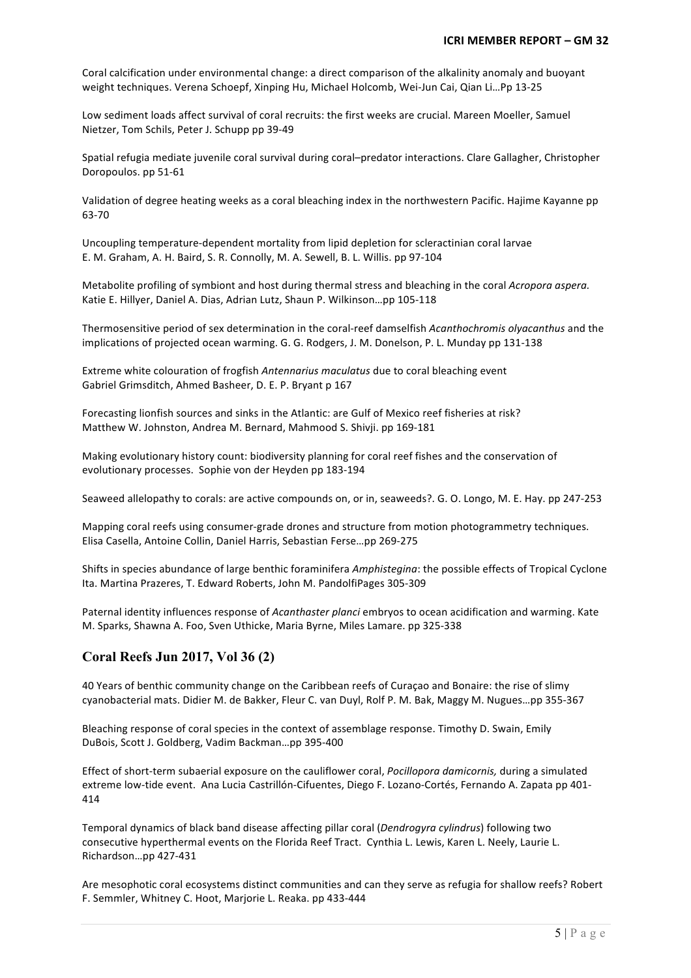Coral calcification under environmental change: a direct comparison of the alkalinity anomaly and buoyant weight techniques. Verena Schoepf, Xinping Hu, Michael Holcomb, Wei-Jun Cai, Qian Li...Pp 13-25

Low sediment loads affect survival of coral recruits: the first weeks are crucial. Mareen Moeller, Samuel Nietzer, Tom Schils, Peter J. Schupp pp 39-49

Spatial refugia mediate juvenile coral survival during coral-predator interactions. Clare Gallagher, Christopher Doropoulos. pp 51-61

Validation of degree heating weeks as a coral bleaching index in the northwestern Pacific. Hajime Kayanne pp 63-70

Uncoupling temperature-dependent mortality from lipid depletion for scleractinian coral larvae E. M. Graham, A. H. Baird, S. R. Connolly, M. A. Sewell, B. L. Willis. pp 97-104

Metabolite profiling of symbiont and host during thermal stress and bleaching in the coral *Acropora aspera.* Katie E. Hillyer, Daniel A. Dias, Adrian Lutz, Shaun P. Wilkinson...pp 105-118

Thermosensitive period of sex determination in the coral-reef damselfish *Acanthochromis olyacanthus* and the implications of projected ocean warming. G. G. Rodgers, J. M. Donelson, P. L. Munday pp 131-138

Extreme white colouration of frogfish *Antennarius maculatus* due to coral bleaching event Gabriel Grimsditch, Ahmed Basheer, D. E. P. Bryant p 167

Forecasting lionfish sources and sinks in the Atlantic: are Gulf of Mexico reef fisheries at risk? Matthew W. Johnston, Andrea M. Bernard, Mahmood S. Shivji. pp 169-181

Making evolutionary history count: biodiversity planning for coral reef fishes and the conservation of evolutionary processes. Sophie von der Heyden pp 183-194

Seaweed allelopathy to corals: are active compounds on, or in, seaweeds?. G. O. Longo, M. E. Hay. pp 247-253

Mapping coral reefs using consumer-grade drones and structure from motion photogrammetry techniques. Elisa Casella, Antoine Collin, Daniel Harris, Sebastian Ferse...pp 269-275

Shifts in species abundance of large benthic foraminifera *Amphistegina*: the possible effects of Tropical Cyclone Ita. Martina Prazeres, T. Edward Roberts, John M. PandolfiPages 305-309

Paternal identity influences response of *Acanthaster planci* embryos to ocean acidification and warming. Kate M. Sparks, Shawna A. Foo, Sven Uthicke, Maria Byrne, Miles Lamare. pp 325-338

# **Coral Reefs Jun 2017, Vol 36 (2)**

40 Years of benthic community change on the Caribbean reefs of Curaçao and Bonaire: the rise of slimy cyanobacterial mats. Didier M. de Bakker, Fleur C. van Duyl, Rolf P. M. Bak, Maggy M. Nugues...pp 355-367

Bleaching response of coral species in the context of assemblage response. Timothy D. Swain, Emily DuBois, Scott J. Goldberg, Vadim Backman...pp 395-400

Effect of short-term subaerial exposure on the cauliflower coral, *Pocillopora damicornis*, during a simulated extreme low-tide event. Ana Lucia Castrillón-Cifuentes, Diego F. Lozano-Cortés, Fernando A. Zapata pp 401-414

Temporal dynamics of black band disease affecting pillar coral (*Dendrogyra cylindrus*) following two consecutive hyperthermal events on the Florida Reef Tract. Cynthia L. Lewis, Karen L. Neely, Laurie L. Richardson…pp 427-431

Are mesophotic coral ecosystems distinct communities and can they serve as refugia for shallow reefs? Robert F. Semmler, Whitney C. Hoot, Marjorie L. Reaka. pp 433-444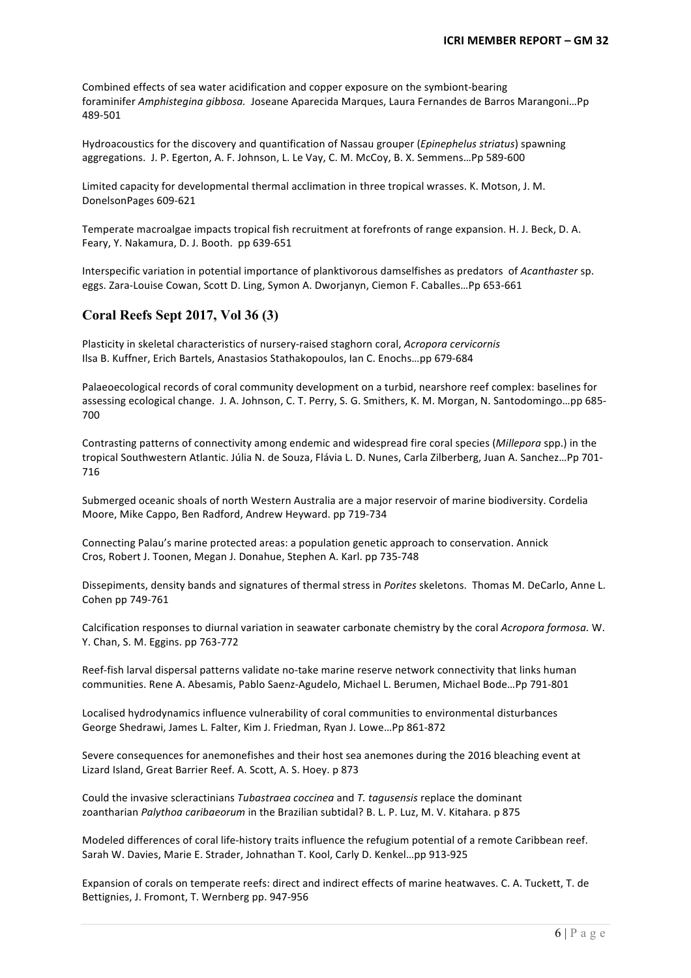Combined effects of sea water acidification and copper exposure on the symbiont-bearing foraminifer *Amphistegina gibbosa.* Joseane Aparecida Marques, Laura Fernandes de Barros Marangoni…Pp 489-501

Hydroacoustics for the discovery and quantification of Nassau grouper (*Epinephelus striatus*) spawning aggregations. J. P. Egerton, A. F. Johnson, L. Le Vay, C. M. McCoy, B. X. Semmens...Pp 589-600

Limited capacity for developmental thermal acclimation in three tropical wrasses. K. Motson, J. M. DonelsonPages 609-621

Temperate macroalgae impacts tropical fish recruitment at forefronts of range expansion. H. J. Beck, D. A. Feary, Y. Nakamura, D. J. Booth. pp 639-651

Interspecific variation in potential importance of planktivorous damselfishes as predators of *Acanthaster* sp. eggs. Zara-Louise Cowan, Scott D. Ling, Symon A. Dworjanyn, Ciemon F. Caballes...Pp 653-661

# **Coral Reefs Sept 2017, Vol 36 (3)**

Plasticity in skeletal characteristics of nursery-raised staghorn coral, *Acropora cervicornis* Ilsa B. Kuffner, Erich Bartels, Anastasios Stathakopoulos, Ian C. Enochs...pp 679-684

Palaeoecological records of coral community development on a turbid, nearshore reef complex: baselines for assessing ecological change. J. A. Johnson, C. T. Perry, S. G. Smithers, K. M. Morgan, N. Santodomingo...pp 685-700

Contrasting patterns of connectivity among endemic and widespread fire coral species (*Milleporg* spp.) in the tropical Southwestern Atlantic. Júlia N. de Souza, Flávia L. D. Nunes, Carla Zilberberg, Juan A. Sanchez...Pp 701-716

Submerged oceanic shoals of north Western Australia are a major reservoir of marine biodiversity. Cordelia Moore, Mike Cappo, Ben Radford, Andrew Heyward. pp 719-734

Connecting Palau's marine protected areas: a population genetic approach to conservation. Annick Cros, Robert J. Toonen, Megan J. Donahue, Stephen A. Karl. pp 735-748

Dissepiments, density bands and signatures of thermal stress in *Porites* skeletons. Thomas M. DeCarlo, Anne L. Cohen pp 749-761

Calcification responses to diurnal variation in seawater carbonate chemistry by the coral *Acropora formosa*. W. Y. Chan, S. M. Eggins. pp 763-772

Reef-fish larval dispersal patterns validate no-take marine reserve network connectivity that links human communities. Rene A. Abesamis, Pablo Saenz-Agudelo, Michael L. Berumen, Michael Bode…Pp 791-801

Localised hydrodynamics influence vulnerability of coral communities to environmental disturbances George Shedrawi, James L. Falter, Kim J. Friedman, Ryan J. Lowe...Pp 861-872

Severe consequences for anemonefishes and their host sea anemones during the 2016 bleaching event at Lizard Island, Great Barrier Reef. A. Scott, A. S. Hoey. p 873

Could the invasive scleractinians *Tubastraea coccinea* and *T. tagusensis* replace the dominant zoantharian *Palythoa caribaeorum* in the Brazilian subtidal? B. L. P. Luz, M. V. Kitahara. p 875

Modeled differences of coral life-history traits influence the refugium potential of a remote Caribbean reef. Sarah W. Davies, Marie E. Strader, Johnathan T. Kool, Carly D. Kenkel...pp 913-925

Expansion of corals on temperate reefs: direct and indirect effects of marine heatwaves. C. A. Tuckett, T. de Bettignies, J. Fromont, T. Wernberg pp. 947-956